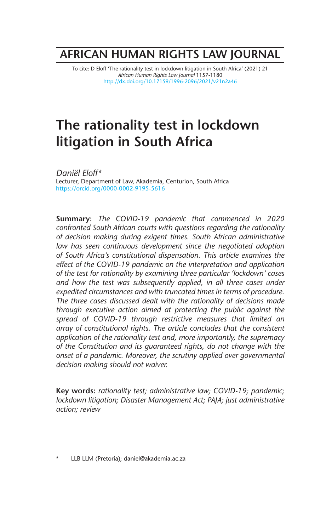## **AFRICAN HUMAN RIGHTS LAW JOURNAL**

To cite: D Eloff 'The rationality test in lockdown litigation in South Africa' (2021) 21 *African Human Rights Law Journal* 1157-1180 http://dx.doi.org/10.17159/1996-2096/2021/v21n2a46

# **The rationality test in lockdown litigation in South Africa**

*Daniël Eloff\** Lecturer, Department of Law, Akademia, Centurion, South Africa https://orcid.org/0000-0002-9195-5616

**Summary:** *The COVID-19 pandemic that commenced in 2020 confronted South African courts with questions regarding the rationality of decision making during exigent times. South African administrative law has seen continuous development since the negotiated adoption of South Africa's constitutional dispensation. This article examines the effect of the COVID-19 pandemic on the interpretation and application of the test for rationality by examining three particular 'lockdown' cases*  and how the test was subsequently applied, in all three cases under *expedited circumstances and with truncated times in terms of procedure. The three cases discussed dealt with the rationality of decisions made through executive action aimed at protecting the public against the spread of COVID-19 through restrictive measures that limited an array of constitutional rights. The article concludes that the consistent application of the rationality test and, more importantly, the supremacy of the Constitution and its guaranteed rights, do not change with the onset of a pandemic. Moreover, the scrutiny applied over governmental decision making should not waiver.*

**Key words:** *rationality test; administrative law; COVID-19; pandemic; lockdown litigation; Disaster Management Act; PAJA; just administrative action; review*

\* LLB LLM (Pretoria); daniel@akademia.ac.za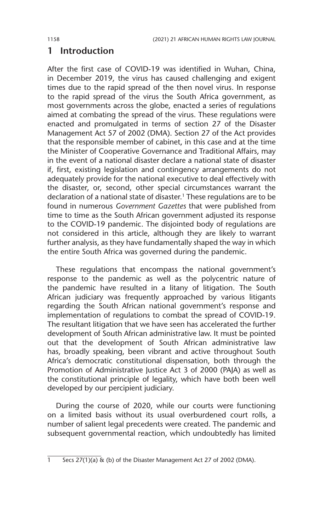## **1 Introduction**

After the first case of COVID-19 was identified in Wuhan, China, in December 2019, the virus has caused challenging and exigent times due to the rapid spread of the then novel virus. In response to the rapid spread of the virus the South Africa government, as most governments across the globe, enacted a series of regulations aimed at combating the spread of the virus. These regulations were enacted and promulgated in terms of section 27 of the Disaster Management Act 57 of 2002 (DMA). Section 27 of the Act provides that the responsible member of cabinet, in this case and at the time the Minister of Cooperative Governance and Traditional Affairs, may in the event of a national disaster declare a national state of disaster if, first, existing legislation and contingency arrangements do not adequately provide for the national executive to deal effectively with the disaster, or, second, other special circumstances warrant the declaration of a national state of disaster.<sup>1</sup> These regulations are to be found in numerous *Government Gazettes* that were published from time to time as the South African government adjusted its response to the COVID-19 pandemic. The disjointed body of regulations are not considered in this article, although they are likely to warrant further analysis, as they have fundamentally shaped the way in which the entire South Africa was governed during the pandemic.

These regulations that encompass the national government's response to the pandemic as well as the polycentric nature of the pandemic have resulted in a litany of litigation. The South African judiciary was frequently approached by various litigants regarding the South African national government's response and implementation of regulations to combat the spread of COVID-19. The resultant litigation that we have seen has accelerated the further development of South African administrative law. It must be pointed out that the development of South African administrative law has, broadly speaking, been vibrant and active throughout South Africa's democratic constitutional dispensation, both through the Promotion of Administrative Justice Act 3 of 2000 (PAJA) as well as the constitutional principle of legality, which have both been well developed by our percipient judiciary.

During the course of 2020, while our courts were functioning on a limited basis without its usual overburdened court rolls, a number of salient legal precedents were created. The pandemic and subsequent governmental reaction, which undoubtedly has limited

 $\frac{1}{1}$  Secs 27(1)(a) & (b) of the Disaster Management Act 27 of 2002 (DMA).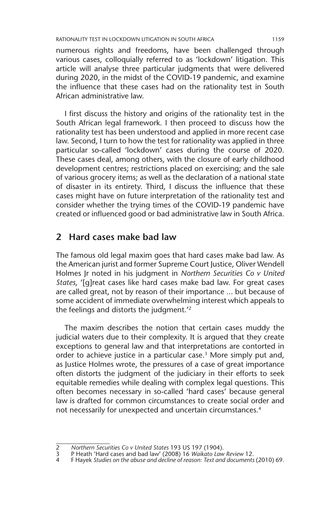numerous rights and freedoms, have been challenged through various cases, colloquially referred to as 'lockdown' litigation. This article will analyse three particular judgments that were delivered during 2020, in the midst of the COVID-19 pandemic, and examine the influence that these cases had on the rationality test in South African administrative law.

I first discuss the history and origins of the rationality test in the South African legal framework. I then proceed to discuss how the rationality test has been understood and applied in more recent case law. Second, I turn to how the test for rationality was applied in three particular so-called 'lockdown' cases during the course of 2020. These cases deal, among others, with the closure of early childhood development centres; restrictions placed on exercising; and the sale of various grocery items; as well as the declaration of a national state of disaster in its entirety. Third, I discuss the influence that these cases might have on future interpretation of the rationality test and consider whether the trying times of the COVID-19 pandemic have created or influenced good or bad administrative law in South Africa.

## **2 Hard cases make bad law**

The famous old legal maxim goes that hard cases make bad law. As the American jurist and former Supreme Court Justice, Oliver Wendell Holmes Jr noted in his judgment in *Northern Securities Co v United States*, '[g]reat cases like hard cases make bad law. For great cases are called great, not by reason of their importance ... but because of some accident of immediate overwhelming interest which appeals to the feelings and distorts the judgment.'2

The maxim describes the notion that certain cases muddy the judicial waters due to their complexity. It is argued that they create exceptions to general law and that interpretations are contorted in order to achieve justice in a particular case.<sup>3</sup> More simply put and, as Justice Holmes wrote, the pressures of a case of great importance often distorts the judgment of the judiciary in their efforts to seek equitable remedies while dealing with complex legal questions. This often becomes necessary in so-called 'hard cases' because general law is drafted for common circumstances to create social order and not necessarily for unexpected and uncertain circumstances.4

<sup>2</sup> *Northern Securities Co v United States* 193 US 197 (1904).

<sup>3</sup> P Heath 'Hard cases and bad law' (2008) 16 *Waikato Law Review* 12.

<sup>4</sup> F Hayek *Studies on the abuse and decline of reason: Text and documents* (2010) 69.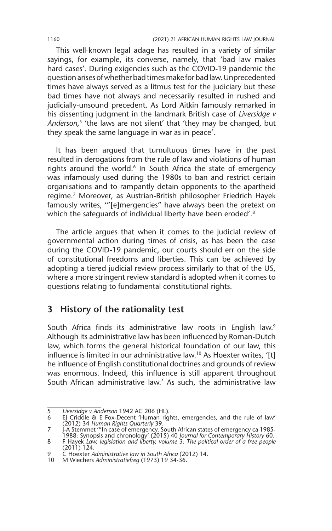This well-known legal adage has resulted in a variety of similar sayings, for example, its converse, namely, that 'bad law makes hard cases'. During exigencies such as the COVID-19 pandemic the question arises of whether bad times make for bad law. Unprecedented times have always served as a litmus test for the judiciary but these bad times have not always and necessarily resulted in rushed and judicially-unsound precedent. As Lord Aitkin famously remarked in his dissenting judgment in the landmark British case of *Liversidge v Anderson*, 5 'the laws are not silent' that 'they may be changed, but they speak the same language in war as in peace'.

It has been argued that tumultuous times have in the past resulted in derogations from the rule of law and violations of human rights around the world.<sup>6</sup> In South Africa the state of emergency was infamously used during the 1980s to ban and restrict certain organisations and to rampantly detain opponents to the apartheid regime.7 Moreover, as Austrian-British philosopher Friedrich Hayek famously writes, '"[e]mergencies" have always been the pretext on which the safeguards of individual liberty have been eroded'.<sup>8</sup>

The article argues that when it comes to the judicial review of governmental action during times of crisis, as has been the case during the COVID-19 pandemic, our courts should err on the side of constitutional freedoms and liberties. This can be achieved by adopting a tiered judicial review process similarly to that of the US, where a more stringent review standard is adopted when it comes to questions relating to fundamental constitutional rights.

## **3 History of the rationality test**

South Africa finds its administrative law roots in English law.<sup>9</sup> Although its administrative law has been influenced by Roman-Dutch law, which forms the general historical foundation of our law, this influence is limited in our administrative law.<sup>10</sup> As Hoexter writes, '[t] he influence of English constitutional doctrines and grounds of review was enormous. Indeed, this influence is still apparent throughout South African administrative law.' As such, the administrative law

<sup>5</sup> *Liversidge v Anderson* 1942 AC 206 (HL).

<sup>6</sup> EJ Criddle & E Fox-Decent 'Human rights, emergencies, and the rule of law' (2012) 34 *Human Rights Quarterly* 39.

<sup>-1985</sup> J-A Stemmet '''In case of emergency. South African states of emergency ca<br>.1988: Synopsis and chronology' (2015) 40 Journal for Contemporary History 60<br>8 F Hayek *Law, legislation and liberty, volume 3: The political* (2011) 124.

<sup>9</sup> C Hoexter *Administrative law in South Africa* (2012) 14.

<sup>10</sup> M Wiechers *Administratiefreg* (1973) 19 34-36.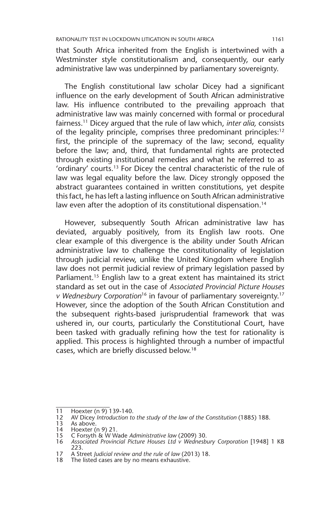that South Africa inherited from the English is intertwined with a Westminster style constitutionalism and, consequently, our early administrative law was underpinned by parliamentary sovereignty.

The English constitutional law scholar Dicey had a significant influence on the early development of South African administrative law. His influence contributed to the prevailing approach that administrative law was mainly concerned with formal or procedural fairness.11 Dicey argued that the rule of law which, *inter alia,* consists of the legality principle, comprises three predominant principles:<sup>12</sup> first, the principle of the supremacy of the law; second, equality before the law; and, third, that fundamental rights are protected through existing institutional remedies and what he referred to as 'ordinary' courts.13 For Dicey the central characteristic of the rule of law was legal equality before the law. Dicey strongly opposed the abstract guarantees contained in written constitutions, yet despite this fact, he has left a lasting influence on South African administrative law even after the adoption of its constitutional dispensation.<sup>14</sup>

However, subsequently South African administrative law has deviated, arguably positively, from its English law roots. One clear example of this divergence is the ability under South African administrative law to challenge the constitutionality of legislation through judicial review, unlike the United Kingdom where English law does not permit judicial review of primary legislation passed by Parliament.<sup>15</sup> English law to a great extent has maintained its strict standard as set out in the case of *Associated Provincial Picture Houses v Wednesbury Corporation*16 in favour of parliamentary sovereignty.17 However, since the adoption of the South African Constitution and the subsequent rights-based jurisprudential framework that was ushered in, our courts, particularly the Constitutional Court, have been tasked with gradually refining how the test for rationality is applied. This process is highlighted through a number of impactful cases, which are briefly discussed below.18

<sup>11</sup> Hoexter (n 9) 139-140.<br>12 AV Dicey Introduction to

<sup>12</sup> AV Dicey *Introduction to the study of the law of the Constitution* (1885) 188.

<sup>13</sup> As above.

<sup>14</sup> Hoexter (n 9) 21. 15 C Forsyth & W Wade *Administrative law* (2009) 30.

<sup>16</sup> *Associated Provincial Picture Houses Ltd v Wednesbury Corporation* [1948] 1 KB 223.

<sup>17</sup> A Street *Judicial review and the rule of law* (2013) 18.

<sup>18</sup> The listed cases are by no means exhaustive.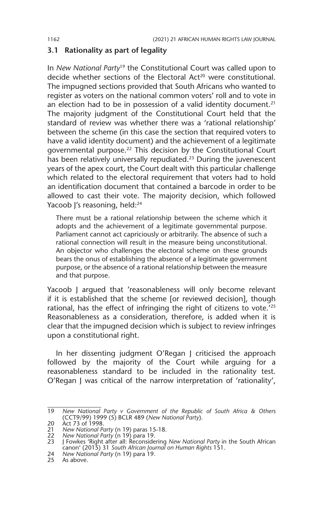#### **3.1 Rationality as part of legality**

In *New National Party*<sup>19</sup> the Constitutional Court was called upon to decide whether sections of the Electoral Act<sup>20</sup> were constitutional. The impugned sections provided that South Africans who wanted to register as voters on the national common voters' roll and to vote in an election had to be in possession of a valid identity document. $21$ The majority judgment of the Constitutional Court held that the standard of review was whether there was a 'rational relationship' between the scheme (in this case the section that required voters to have a valid identity document) and the achievement of a legitimate governmental purpose.22 This decision by the Constitutional Court has been relatively universally repudiated.<sup>23</sup> During the juvenescent years of the apex court, the Court dealt with this particular challenge which related to the electoral requirement that voters had to hold an identification document that contained a barcode in order to be allowed to cast their vote. The majority decision, which followed Yacoob J's reasoning, held:<sup>24</sup>

There must be a rational relationship between the scheme which it adopts and the achievement of a legitimate governmental purpose. Parliament cannot act capriciously or arbitrarily. The absence of such a rational connection will result in the measure being unconstitutional. An objector who challenges the electoral scheme on these grounds bears the onus of establishing the absence of a legitimate government purpose, or the absence of a rational relationship between the measure and that purpose.

Yacoob J argued that 'reasonableness will only become relevant if it is established that the scheme [or reviewed decision], though rational, has the effect of infringing the right of citizens to vote.'25 Reasonableness as a consideration, therefore, is added when it is clear that the impugned decision which is subject to review infringes upon a constitutional right.

In her dissenting judgment O'Regan J criticised the approach followed by the majority of the Court while arguing for a reasonableness standard to be included in the rationality test. O'Regan J was critical of the narrow interpretation of 'rationality',

<sup>19</sup> *New National Party v Government of the Republic of South Africa & Others* (CCT9/99) 1999 (5) BCLR 489 (*New National Party*).

<sup>20</sup> Act 73 of 1998.

<sup>21</sup> *New National Party* (n 19) paras 15-18. 22 *New National Party* (n 19) para 19. 23 J Fowkes 'Right after all: Reconsidering *New National Party* in the South African canon' (2015) 31 *South African Journal on Human Rights* 151.

<sup>24</sup> *New National Party* (n 19) para 19.

<sup>25</sup> As above.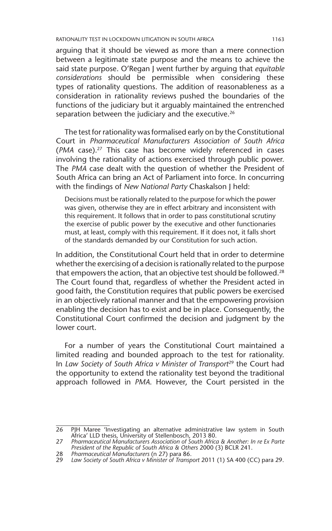arguing that it should be viewed as more than a mere connection between a legitimate state purpose and the means to achieve the said state purpose. O'Regan J went further by arguing that *equitable considerations* should be permissible when considering these types of rationality questions. The addition of reasonableness as a consideration in rationality reviews pushed the boundaries of the functions of the judiciary but it arguably maintained the entrenched separation between the judiciary and the executive.<sup>26</sup>

The test for rationality was formalised early on by the Constitutional Court in *Pharmaceutical Manufacturers Association of South Africa*  (*PMA* case).27 This case has become widely referenced in cases involving the rationality of actions exercised through public power. The *PMA* case dealt with the question of whether the President of South Africa can bring an Act of Parliament into force. In concurring with the findings of *New National Party* Chaskalson J held:

Decisions must be rationally related to the purpose for which the power was given, otherwise they are in effect arbitrary and inconsistent with this requirement. It follows that in order to pass constitutional scrutiny the exercise of public power by the executive and other functionaries must, at least, comply with this requirement. If it does not, it falls short of the standards demanded by our Constitution for such action.

In addition, the Constitutional Court held that in order to determine whether the exercising of a decision is rationally related to the purpose that empowers the action, that an objective test should be followed.<sup>28</sup> The Court found that, regardless of whether the President acted in good faith, the Constitution requires that public powers be exercised in an objectively rational manner and that the empowering provision enabling the decision has to exist and be in place. Consequently, the Constitutional Court confirmed the decision and judgment by the lower court.

For a number of years the Constitutional Court maintained a limited reading and bounded approach to the test for rationality. In *Law Society of South Africa v Minister of Transport*<sup>29</sup> the Court had the opportunity to extend the rationality test beyond the traditional approach followed in *PMA*. However, the Court persisted in the

<sup>26</sup> PJH Maree 'Investigating an alternative administrative law system in South<br>Africa' LLD thesis, University of Stellenbosch, 2013 80.<br>27 Pharmaceutical Manufacturers Association of South Africa & Another: In re Ex Parte

*President of the Republic of South Africa & Others* 2000 (3) BCLR 241.

<sup>28</sup> *Pharmaceutical Manufacturers* (n 27) para 86.

<sup>29</sup> *Law Society of South Africa v Minister of Transport* 2011 (1) SA 400 (CC) para 29.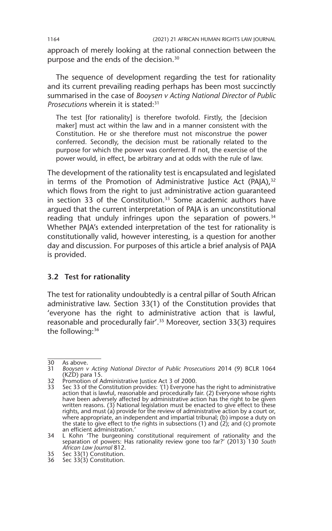approach of merely looking at the rational connection between the purpose and the ends of the decision.30

The sequence of development regarding the test for rationality and its current prevailing reading perhaps has been most succinctly summarised in the case of *Booysen v Acting National Director of Public Prosecutions* wherein it is stated:31

The test [for rationality] is therefore twofold. Firstly, the [decision maker] must act within the law and in a manner consistent with the Constitution. He or she therefore must not misconstrue the power conferred. Secondly, the decision must be rationally related to the purpose for which the power was conferred. If not, the exercise of the power would, in effect, be arbitrary and at odds with the rule of law.

The development of the rationality test is encapsulated and legislated in terms of the Promotion of Administrative Justice Act (PAJA),<sup>32</sup> which flows from the right to just administrative action guaranteed in section 33 of the Constitution.<sup>33</sup> Some academic authors have argued that the current interpretation of PAJA is an unconstitutional reading that unduly infringes upon the separation of powers.<sup>34</sup> Whether PAJA's extended interpretation of the test for rationality is constitutionally valid, however interesting, is a question for another day and discussion. For purposes of this article a brief analysis of PAJA is provided.

#### **3.2 Test for rationality**

The test for rationality undoubtedly is a central pillar of South African administrative law. Section 33(1) of the Constitution provides that 'everyone has the right to administrative action that is lawful, reasonable and procedurally fair'.35 Moreover, section 33(3) requires the following:<sup>36</sup>

32 Promotion of Administrative Justice Act 3 of 2000.

<sup>30</sup> As above.<br>31 *Boovsen v* 

<sup>31</sup> *Booysen v Acting National Director of Public Prosecutions* 2014 (9) BCLR 1064 (KZD) para 15.

<sup>33</sup> Sec 33 of the Constitution provides: *'*(1) Everyone has the right to administrative action that is lawful, reasonable and procedurally fair. (2) Everyone whose rights have been adversely affected by administrative action has the right to be given written reasons. (3) National legislation must be enacted to give effect to these rights, and must (a) provide for the review of administrative action by a court or, where appropriate, an independent and impartial tribunal; (b) impose a duty on the state to give effect to the rights in subsections (1) and (2); and (c) promote an efficient administration.'

<sup>34</sup> L Kohn 'The burgeoning constitutional requirement of rationality and the separation of powers: Has rationality review gone too far?' (2013) 130 *South African Law Journal* 812.

<sup>35</sup> Sec 33(1) Constitution.

<sup>36</sup> Sec 33(3) Constitution.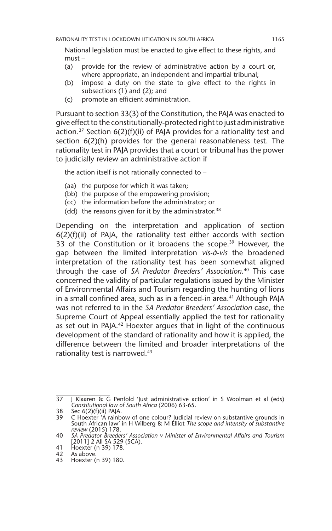National legislation must be enacted to give effect to these rights, and must –

- (a) provide for the review of administrative action by a court or, where appropriate, an independent and impartial tribunal;
- (b) impose a duty on the state to give effect to the rights in subsections (1) and (2); and
- (c) promote an efficient administration.

Pursuant to section 33(3) of the Constitution, the PAJA was enacted to give effect to the constitutionally-protected right to just administrative action.<sup>37</sup> Section  $6(2)(f)(ii)$  of PAJA provides for a rationality test and section 6(2)(h) provides for the general reasonableness test. The rationality test in PAJA provides that a court or tribunal has the power to judicially review an administrative action if

the action itself is not rationally connected to –

- (aa) the purpose for which it was taken;
- (bb) the purpose of the empowering provision;
- (cc) the information before the administrator; or
- (dd) the reasons given for it by the administrator.<sup>38</sup>

Depending on the interpretation and application of section  $6(2)(f)(ii)$  of PAJA, the rationality test either accords with section 33 of the Constitution or it broadens the scope.<sup>39</sup> However, the gap between the limited interpretation *vis-à-vis* the broadened interpretation of the rationality test has been somewhat aligned through the case of *SA Predator Breeders' Association*. 40 This case concerned the validity of particular regulations issued by the Minister of Environmental Affairs and Tourism regarding the hunting of lions in a small confined area, such as in a fenced-in area.<sup>41</sup> Although PAJA was not referred to in the *SA Predator Breeders' Association* case, the Supreme Court of Appeal essentially applied the test for rationality as set out in PAJA.<sup>42</sup> Hoexter argues that in light of the continuous development of the standard of rationality and how it is applied, the difference between the limited and broader interpretations of the rationality test is narrowed.<sup>43</sup>

<sup>37</sup> J Klaaren & G Penfold 'Just administrative action' in S Woolman et al (eds) *Constitutional law of South Africa* (2006) 63-65.

<sup>38</sup> Sec 6(2)(f)(ii) PAJA.

<sup>39</sup> C Hoexter 'A rainbow of one colour? Judicial review on substantive grounds in South African law' in H Wilberg & M Elliot *The scope and intensity of substantive review* (2015) 178.

<sup>40</sup> *SA Predator Breeders' Association v Minister of Environmental Affairs and Tourism* [2011] 2 All SA 529 (SCA).

<sup>41</sup> Hoexter (n 39) 178.<br>42 As above.

<sup>42</sup> As above.<br>43 Hoexter (

<sup>43</sup> Hoexter (n 39) 180.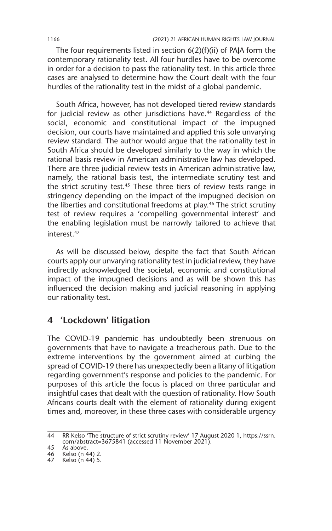The four requirements listed in section 6(2)(f)(ii) of PAJA form the contemporary rationality test. All four hurdles have to be overcome in order for a decision to pass the rationality test. In this article three cases are analysed to determine how the Court dealt with the four hurdles of the rationality test in the midst of a global pandemic.

South Africa, however, has not developed tiered review standards for judicial review as other jurisdictions have.<sup>44</sup> Regardless of the social, economic and constitutional impact of the impugned decision, our courts have maintained and applied this sole unvarying review standard. The author would argue that the rationality test in South Africa should be developed similarly to the way in which the rational basis review in American administrative law has developed. There are three judicial review tests in American administrative law, namely, the rational basis test, the intermediate scrutiny test and the strict scrutiny test.45 These three tiers of review tests range in stringency depending on the impact of the impugned decision on the liberties and constitutional freedoms at play.46 The strict scrutiny test of review requires a 'compelling governmental interest' and the enabling legislation must be narrowly tailored to achieve that interest.47

As will be discussed below, despite the fact that South African courts apply our unvarying rationality test in judicial review, they have indirectly acknowledged the societal, economic and constitutional impact of the impugned decisions and as will be shown this has influenced the decision making and judicial reasoning in applying our rationality test.

## **4 'Lockdown' litigation**

The COVID-19 pandemic has undoubtedly been strenuous on governments that have to navigate a treacherous path. Due to the extreme interventions by the government aimed at curbing the spread of COVID-19 there has unexpectedly been a litany of litigation regarding government's response and policies to the pandemic. For purposes of this article the focus is placed on three particular and insightful cases that dealt with the question of rationality. How South Africans courts dealt with the element of rationality during exigent times and, moreover, in these three cases with considerable urgency

<sup>44</sup> RR Kelso 'The structure of strict scrutiny review' 17 August 2020 1, https://ssrn. com/abstract=3675841 (accessed 11 November 2021).

<sup>45</sup> As above.

<sup>46</sup> Kelso (n 44) 2.

<sup>47</sup> Kelso (n 44) 5.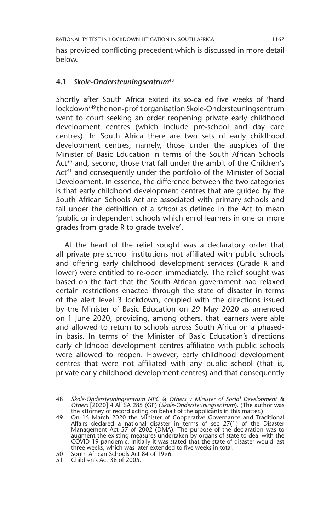has provided conflicting precedent which is discussed in more detail below.

#### **4.1** *Skole-Ondersteuningsentrum*<sup>48</sup>

Shortly after South Africa exited its so-called five weeks of 'hard lockdown'49 the non-profit organisation Skole-Ondersteuningsentrum went to court seeking an order reopening private early childhood development centres (which include pre-school and day care centres). In South Africa there are two sets of early childhood development centres, namely, those under the auspices of the Minister of Basic Education in terms of the South African Schools Act<sup>50</sup> and, second, those that fall under the ambit of the Children's Act<sup>51</sup> and consequently under the portfolio of the Minister of Social Development. In essence, the difference between the two categories is that early childhood development centres that are guided by the South African Schools Act are associated with primary schools and fall under the definition of a *school* as defined in the Act to mean 'public or independent schools which enrol learners in one or more grades from grade R to grade twelve'.

At the heart of the relief sought was a declaratory order that all private pre-school institutions not affiliated with public schools and offering early childhood development services (Grade R and lower) were entitled to re-open immediately. The relief sought was based on the fact that the South African government had relaxed certain restrictions enacted through the state of disaster in terms of the alert level 3 lockdown, coupled with the directions issued by the Minister of Basic Education on 29 May 2020 as amended on 1 June 2020, providing, among others, that learners were able and allowed to return to schools across South Africa on a phasedin basis. In terms of the Minister of Basic Education's directions early childhood development centres affiliated with public schools were allowed to reopen. However, early childhood development centres that were not affiliated with any public school (that is, private early childhood development centres) and that consequently

<sup>48</sup> *Skole-Ondersteuningsentrum NPC & Others v Minister of Social Development & Others* [2020] 4 All SA 285 (GP) (*Skole-Ondersteuningsentrum*). (The author was the attorney of record acting on behalf of the applicants in this matter.)

<sup>49</sup> On 15 March 2020 the Minister of Cooperative Governance and Traditional Affairs declared a national disaster in terms of sec 27(1) of the Disaster Management Act 57 of 2002 (DMA). The purpose of the declaration was to<br>augment the existing measures undertaken by organs of state to deal with the<br>COVID-19 pandemic. Initially it was stated that the state of disaster woul three weeks, which was later extended to five weeks in total. South African Schools Act 84 of 1996.<br>51 Children's Act 38 of 2005.

Children's Act 38 of 2005.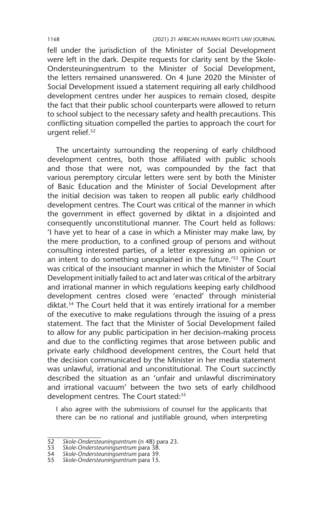fell under the jurisdiction of the Minister of Social Development were left in the dark. Despite requests for clarity sent by the Skole-Ondersteuningsentrum to the Minister of Social Development, the letters remained unanswered. On 4 June 2020 the Minister of Social Development issued a statement requiring all early childhood development centres under her auspices to remain closed, despite the fact that their public school counterparts were allowed to return to school subject to the necessary safety and health precautions. This conflicting situation compelled the parties to approach the court for urgent relief.<sup>52</sup>

The uncertainty surrounding the reopening of early childhood development centres, both those affiliated with public schools and those that were not, was compounded by the fact that various peremptory circular letters were sent by both the Minister of Basic Education and the Minister of Social Development after the initial decision was taken to reopen all public early childhood development centres. The Court was critical of the manner in which the government in effect governed by diktat in a disjointed and consequently unconstitutional manner. The Court held as follows: 'I have yet to hear of a case in which a Minister may make law, by the mere production, to a confined group of persons and without consulting interested parties, of a letter expressing an opinion or an intent to do something unexplained in the future.'53 The Court was critical of the insouciant manner in which the Minister of Social Development initially failed to act and later was critical of the arbitrary and irrational manner in which regulations keeping early childhood development centres closed were 'enacted' through ministerial diktat.<sup>54</sup> The Court held that it was entirely irrational for a member of the executive to make regulations through the issuing of a press statement. The fact that the Minister of Social Development failed to allow for any public participation in her decision-making process and due to the conflicting regimes that arose between public and private early childhood development centres, the Court held that the decision communicated by the Minister in her media statement was unlawful, irrational and unconstitutional. The Court succinctly described the situation as an 'unfair and unlawful discriminatory and irrational vacuum' between the two sets of early childhood development centres. The Court stated:<sup>55</sup>

I also agree with the submissions of counsel for the applicants that there can be no rational and justifiable ground, when interpreting

<sup>52</sup> *Skole-Ondersteuningsentrum* (n 48) para 23.

<sup>53</sup> *Skole-Ondersteuningsentrum* para 38.

<sup>54</sup> *Skole-Ondersteuningsentrum* para 39.

<sup>55</sup> *Skole-Ondersteuningsentrum* para 15.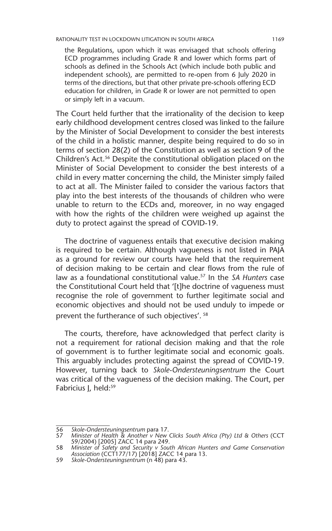the Regulations, upon which it was envisaged that schools offering ECD programmes including Grade R and lower which forms part of schools as defined in the Schools Act (which include both public and independent schools), are permitted to re-open from 6 July 2020 in terms of the directions, but that other private pre-schools offering ECD education for children, in Grade R or lower are not permitted to open or simply left in a vacuum.

The Court held further that the irrationality of the decision to keep early childhood development centres closed was linked to the failure by the Minister of Social Development to consider the best interests of the child in a holistic manner, despite being required to do so in terms of section 28(2) of the Constitution as well as section 9 of the Children's Act.<sup>56</sup> Despite the constitutional obligation placed on the Minister of Social Development to consider the best interests of a child in every matter concerning the child, the Minister simply failed to act at all. The Minister failed to consider the various factors that play into the best interests of the thousands of children who were unable to return to the ECDs and, moreover, in no way engaged with how the rights of the children were weighed up against the duty to protect against the spread of COVID-19.

The doctrine of vagueness entails that executive decision making is required to be certain. Although vagueness is not listed in PAJA as a ground for review our courts have held that the requirement of decision making to be certain and clear flows from the rule of law as a foundational constitutional value.57 In the *SA Hunters* case the Constitutional Court held that '[t]he doctrine of vagueness must recognise the role of government to further legitimate social and economic objectives and should not be used unduly to impede or prevent the furtherance of such objectives'. <sup>58</sup>

The courts, therefore, have acknowledged that perfect clarity is not a requirement for rational decision making and that the role of government is to further legitimate social and economic goals. This arguably includes protecting against the spread of COVID-19. However, turning back to *Skole-Ondersteuningsentrum* the Court was critical of the vagueness of the decision making. The Court, per Fabricius J, held:<sup>59</sup>

<sup>56</sup> *Skole-Ondersteuningsentrum* para 17. 57 *Minister of Health & Another v New Clicks South Africa (Pty) Ltd & Others* (CCT 59/2004) [2005] ZACC 14 para 249.

<sup>58</sup> *Minister of Safety and Security v South African Hunters and Game Conservation Association* (CCT177/17) [2018] ZACC 14 para 13.

<sup>59</sup> *Skole-Ondersteuningsentrum* (n 48) para 43.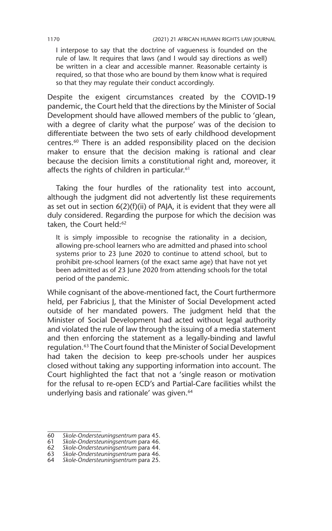I interpose to say that the doctrine of vagueness is founded on the rule of law. It requires that laws (and I would say directions as well) be written in a clear and accessible manner. Reasonable certainty is required, so that those who are bound by them know what is required so that they may regulate their conduct accordingly.

Despite the exigent circumstances created by the COVID-19 pandemic, the Court held that the directions by the Minister of Social Development should have allowed members of the public to 'glean, with a degree of clarity what the purpose' was of the decision to differentiate between the two sets of early childhood development centres.60 There is an added responsibility placed on the decision maker to ensure that the decision making is rational and clear because the decision limits a constitutional right and, moreover, it affects the rights of children in particular.<sup>61</sup>

Taking the four hurdles of the rationality test into account, although the judgment did not advertently list these requirements as set out in section 6(2)(f)(ii) of PAJA, it is evident that they were all duly considered. Regarding the purpose for which the decision was taken, the Court held:<sup>62</sup>

It is simply impossible to recognise the rationality in a decision, allowing pre-school learners who are admitted and phased into school systems prior to 23 June 2020 to continue to attend school, but to prohibit pre-school learners (of the exact same age) that have not yet been admitted as of 23 June 2020 from attending schools for the total period of the pandemic.

While cognisant of the above-mentioned fact, the Court furthermore held, per Fabricius J, that the Minister of Social Development acted outside of her mandated powers. The judgment held that the Minister of Social Development had acted without legal authority and violated the rule of law through the issuing of a media statement and then enforcing the statement as a legally-binding and lawful regulation.63 The Court found that the Minister of Social Development had taken the decision to keep pre-schools under her auspices closed without taking any supporting information into account. The Court highlighted the fact that not a 'single reason or motivation for the refusal to re-open ECD's and Partial-Care facilities whilst the underlying basis and rationale' was given.<sup>64</sup>

<sup>60</sup> *Skole-Ondersteuningsentrum* para 45.

<sup>61</sup> *Skole-Ondersteuningsentrum* para 46.

<sup>62</sup> *Skole-Ondersteuningsentrum* para 44.

<sup>63</sup> *Skole-Ondersteuningsentrum* para 46.

<sup>64</sup> *Skole-Ondersteuningsentrum* para 25.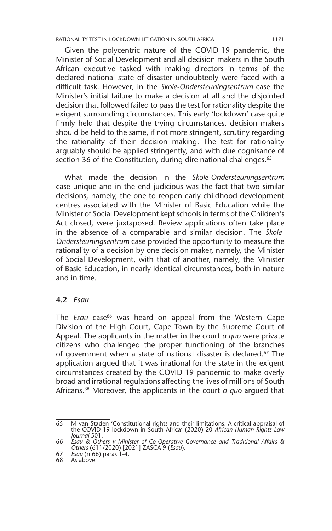Given the polycentric nature of the COVID-19 pandemic, the Minister of Social Development and all decision makers in the South African executive tasked with making directors in terms of the declared national state of disaster undoubtedly were faced with a difficult task. However, in the *Skole-Ondersteuningsentrum* case the Minister's initial failure to make a decision at all and the disjointed decision that followed failed to pass the test for rationality despite the exigent surrounding circumstances. This early 'lockdown' case quite firmly held that despite the trying circumstances, decision makers should be held to the same, if not more stringent, scrutiny regarding the rationality of their decision making. The test for rationality arguably should be applied stringently, and with due cognisance of section 36 of the Constitution, during dire national challenges.<sup>65</sup>

What made the decision in the *Skole-Ondersteuningsentrum*  case unique and in the end judicious was the fact that two similar decisions, namely, the one to reopen early childhood development centres associated with the Minister of Basic Education while the Minister of Social Development kept schools in terms of the Children's Act closed, were juxtaposed. Review applications often take place in the absence of a comparable and similar decision. The *Skole-Ondersteuningsentrum* case provided the opportunity to measure the rationality of a decision by one decision maker, namely, the Minister of Social Development, with that of another, namely, the Minister of Basic Education, in nearly identical circumstances, both in nature and in time.

#### **4.2** *Esau*

The *Esau* case<sup>66</sup> was heard on appeal from the Western Cape Division of the High Court, Cape Town by the Supreme Court of Appeal. The applicants in the matter in the court *a quo* were private citizens who challenged the proper functioning of the branches of government when a state of national disaster is declared.<sup>67</sup> The application argued that it was irrational for the state in the exigent circumstances created by the COVID-19 pandemic to make overly broad and irrational regulations affecting the lives of millions of South Africans.68 Moreover, the applicants in the court *a quo* argued that

<sup>65</sup> M van Staden 'Constitutional rights and their limitations: A critical appraisal of the COVID-19 lockdown in South Africa' (2020) 20 *African Human Rights Law Journal* 501.

<sup>66</sup> *Esau & Others v Minister of Co-Operative Governance and Traditional Affairs & Others* (611/2020) [2021] ZASCA 9 (*Esau*).

<sup>67</sup> *Esau* (n 66) paras 1-4.

<sup>68</sup> As above.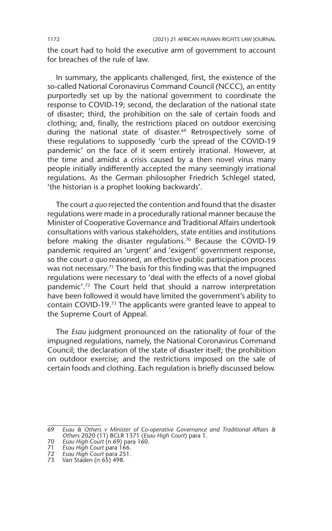the court had to hold the executive arm of government to account for breaches of the rule of law.

In summary, the applicants challenged, first, the existence of the so-called National Coronavirus Command Council (NCCC), an entity purportedly set up by the national government to coordinate the response to COVID-19; second, the declaration of the national state of disaster; third, the prohibition on the sale of certain foods and clothing; and, finally, the restrictions placed on outdoor exercising during the national state of disaster.<sup>69</sup> Retrospectively some of these regulations to supposedly 'curb the spread of the COVID-19 pandemic' on the face of it seem entirely irrational. However, at the time and amidst a crisis caused by a then novel virus many people initially indifferently accepted the many seemingly irrational regulations. As the German philosopher Friedrich Schlegel stated, 'the historian is a prophet looking backwards'.

The court *a quo* rejected the contention and found that the disaster regulations were made in a procedurally rational manner because the Minister of Cooperative Governance and Traditional Affairs undertook consultations with various stakeholders, state entities and institutions before making the disaster regulations.<sup>70</sup> Because the COVID-19 pandemic required an 'urgent' and 'exigent' government response, so the court *a quo* reasoned, an effective public participation process was not necessary.<sup>71</sup> The basis for this finding was that the impugned regulations were necessary to 'deal with the effects of a novel global pandemic'.72 The Court held that should a narrow interpretation have been followed it would have limited the government's ability to contain COVID-19.73 The applicants were granted leave to appeal to the Supreme Court of Appeal.

The *Esau* judgment pronounced on the rationality of four of the impugned regulations, namely, the National Coronavirus Command Council; the declaration of the state of disaster itself; the prohibition on outdoor exercise; and the restrictions imposed on the sale of certain foods and clothing. Each regulation is briefly discussed below.

<sup>69</sup> *Esau & Others v Minister of Co-operative Governance and Traditional Affairs & Others* 2020 (11) BCLR 1371 (*Esau High Court*) para 1.

<sup>70</sup> *Esau High Court* (n 69) para 160.

<sup>71</sup> *Esau High Court* para 166.

<sup>72</sup> *Esau High Court* para 251.

<sup>73</sup> Van Staden (n 65) 498.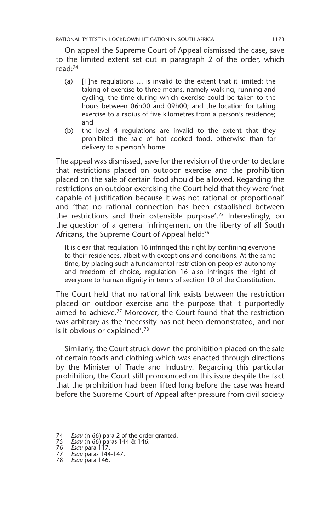On appeal the Supreme Court of Appeal dismissed the case, save to the limited extent set out in paragraph 2 of the order, which read:74

- (a) [T]he regulations … is invalid to the extent that it limited: the taking of exercise to three means, namely walking, running and cycling; the time during which exercise could be taken to the hours between 06h00 and 09h00; and the location for taking exercise to a radius of five kilometres from a person's residence; and
- (b) the level 4 regulations are invalid to the extent that they prohibited the sale of hot cooked food, otherwise than for delivery to a person's home.

The appeal was dismissed, save for the revision of the order to declare that restrictions placed on outdoor exercise and the prohibition placed on the sale of certain food should be allowed. Regarding the restrictions on outdoor exercising the Court held that they were 'not capable of justification because it was not rational or proportional' and 'that no rational connection has been established between the restrictions and their ostensible purpose'.75 Interestingly, on the question of a general infringement on the liberty of all South Africans, the Supreme Court of Appeal held:<sup>76</sup>

It is clear that regulation 16 infringed this right by confining everyone to their residences, albeit with exceptions and conditions. At the same time, by placing such a fundamental restriction on peoples' autonomy and freedom of choice, regulation 16 also infringes the right of everyone to human dignity in terms of section 10 of the Constitution.

The Court held that no rational link exists between the restriction placed on outdoor exercise and the purpose that it purportedly aimed to achieve.<sup>77</sup> Moreover, the Court found that the restriction was arbitrary as the 'necessity has not been demonstrated, and nor is it obvious or explained'.78

Similarly, the Court struck down the prohibition placed on the sale of certain foods and clothing which was enacted through directions by the Minister of Trade and Industry. Regarding this particular prohibition, the Court still pronounced on this issue despite the fact that the prohibition had been lifted long before the case was heard before the Supreme Court of Appeal after pressure from civil society

<sup>74</sup> *Esau* (n 66) para 2 of the order granted.

<sup>75</sup> *Esau* (n 66) paras 144 & 146.

<sup>76</sup> *Esau* para 117.

<sup>77</sup> *Esau* paras 144-147.

<sup>78</sup> *Esau* para 146.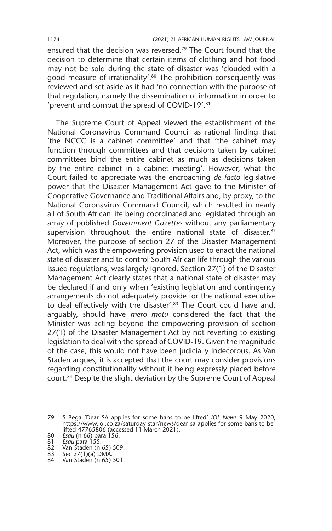ensured that the decision was reversed.<sup>79</sup> The Court found that the decision to determine that certain items of clothing and hot food may not be sold during the state of disaster was 'clouded with a good measure of irrationality'.<sup>80</sup> The prohibition consequently was reviewed and set aside as it had 'no connection with the purpose of that regulation, namely the dissemination of information in order to 'prevent and combat the spread of COVID-19'.81

The Supreme Court of Appeal viewed the establishment of the National Coronavirus Command Council as rational finding that 'the NCCC is a cabinet committee' and that 'the cabinet may function through committees and that decisions taken by cabinet committees bind the entire cabinet as much as decisions taken by the entire cabinet in a cabinet meeting'. However, what the Court failed to appreciate was the encroaching *de facto* legislative power that the Disaster Management Act gave to the Minister of Cooperative Governance and Traditional Affairs and, by proxy, to the National Coronavirus Command Council, which resulted in nearly all of South African life being coordinated and legislated through an array of published *Government Gazettes* without any parliamentary supervision throughout the entire national state of disaster.<sup>82</sup> Moreover, the purpose of section 27 of the Disaster Management Act, which was the empowering provision used to enact the national state of disaster and to control South African life through the various issued regulations, was largely ignored. Section 27(1) of the Disaster Management Act clearly states that a national state of disaster may be declared if and only when 'existing legislation and contingency arrangements do not adequately provide for the national executive to deal effectively with the disaster'.<sup>83</sup> The Court could have and, arguably, should have *mero motu* considered the fact that the Minister was acting beyond the empowering provision of section 27(1) of the Disaster Management Act by not reverting to existing legislation to deal with the spread of COVID-19. Given the magnitude of the case, this would not have been judicially indecorous. As Van Staden argues, it is accepted that the court may consider provisions regarding constitutionality without it being expressly placed before court.84 Despite the slight deviation by the Supreme Court of Appeal

<sup>79</sup> S Bega 'Dear SA applies for some bans to be lifted' *IOL News* 9 May 2020, https://www.iol.co.za/saturday-star/news/dear-sa-applies-for-some-bans-to-belifted-47765806 (accessed 11 March 2021). 80 *Esau* (n 66) para 156. 81 *Esau* para 155.

<sup>82</sup> Van Staden (n 65) 509.

<sup>83</sup> Sec 27(1)(a) DMA.

<sup>84</sup> Van Staden (n 65) 501.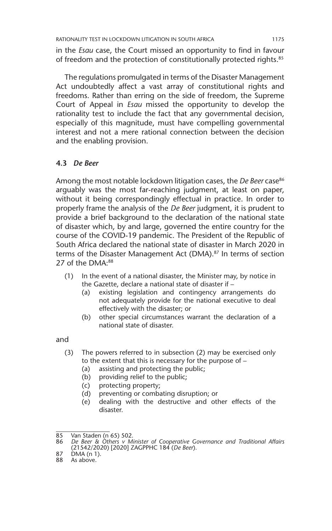in the *Esau* case, the Court missed an opportunity to find in favour of freedom and the protection of constitutionally protected rights.<sup>85</sup>

The regulations promulgated in terms of the Disaster Management Act undoubtedly affect a vast array of constitutional rights and freedoms. Rather than erring on the side of freedom, the Supreme Court of Appeal in *Esau* missed the opportunity to develop the rationality test to include the fact that any governmental decision, especially of this magnitude, must have compelling governmental interest and not a mere rational connection between the decision and the enabling provision.

#### **4.3** *De Beer*

Among the most notable lockdown litigation cases, the *De Beer* case<sup>86</sup> arguably was the most far-reaching judgment, at least on paper, without it being correspondingly effectual in practice. In order to properly frame the analysis of the *De Beer* judgment, it is prudent to provide a brief background to the declaration of the national state of disaster which, by and large, governed the entire country for the course of the COVID-19 pandemic. The President of the Republic of South Africa declared the national state of disaster in March 2020 in terms of the Disaster Management Act (DMA).<sup>87</sup> In terms of section 27 of the DMA:<sup>88</sup>

- (1) In the event of a national disaster, the Minister may, by notice in the Gazette, declare a national state of disaster if –
	- (a) existing legislation and contingency arrangements do not adequately provide for the national executive to deal effectively with the disaster; or
	- (b) other special circumstances warrant the declaration of a national state of disaster.

and

- (3) The powers referred to in subsection (2) may be exercised only to the extent that this is necessary for the purpose of –
	- (a) assisting and protecting the public;
	- (b) providing relief to the public;
	- (c) protecting property;
	- (d) preventing or combating disruption; or
	- (e) dealing with the destructive and other effects of the disaster.

<sup>85</sup> Van Staden (n 65) 502.<br>86 De Beer & Others v M.

<sup>86</sup> *De Beer & Others v Minister of Cooperative Governance and Traditional Affairs* (21542/2020) [2020] ZAGPPHC 184 (*De Beer*).

<sup>87</sup> DMA (n 1).

<sup>88</sup> As above.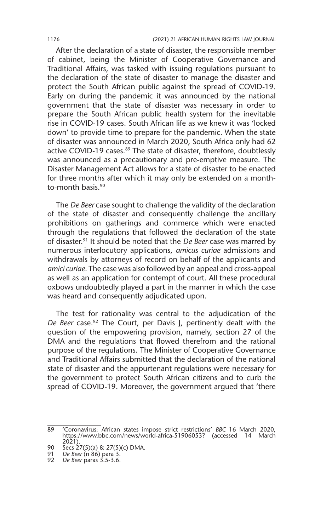After the declaration of a state of disaster, the responsible member of cabinet, being the Minister of Cooperative Governance and Traditional Affairs, was tasked with issuing regulations pursuant to the declaration of the state of disaster to manage the disaster and protect the South African public against the spread of COVID-19. Early on during the pandemic it was announced by the national government that the state of disaster was necessary in order to prepare the South African public health system for the inevitable rise in COVID-19 cases. South African life as we knew it was 'locked down' to provide time to prepare for the pandemic. When the state of disaster was announced in March 2020, South Africa only had 62 active COVID-19 cases.<sup>89</sup> The state of disaster, therefore, doubtlessly was announced as a precautionary and pre-emptive measure. The Disaster Management Act allows for a state of disaster to be enacted for three months after which it may only be extended on a monthto-month basis.90

The *De Beer* case sought to challenge the validity of the declaration of the state of disaster and consequently challenge the ancillary prohibitions on gatherings and commerce which were enacted through the regulations that followed the declaration of the state of disaster.91 It should be noted that the *De Beer* case was marred by numerous interlocutory applications, *amicus curiae* admissions and withdrawals by attorneys of record on behalf of the applicants and *amici curiae*. The case was also followed by an appeal and cross-appeal as well as an application for contempt of court. All these procedural oxbows undoubtedly played a part in the manner in which the case was heard and consequently adjudicated upon.

The test for rationality was central to the adjudication of the *De Beer* case.92 The Court, per Davis J, pertinently dealt with the question of the empowering provision, namely, section 27 of the DMA and the regulations that flowed therefrom and the rational purpose of the regulations. The Minister of Cooperative Governance and Traditional Affairs submitted that the declaration of the national state of disaster and the appurtenant regulations were necessary for the government to protect South African citizens and to curb the spread of COVID-19. Moreover, the government argued that 'there

<sup>89</sup> 'Coronavirus: African states impose strict restrictions' *BBC* 16 March 2020, https://www.bbc.com/news/world-africa-51906053? (accessed 14 March 2021).

<sup>90</sup> Secs 27(5)(a) & 27(5)(c) DMA.

<sup>91</sup> *De Beer* (n 86) para 3.

<sup>92</sup> *De Beer* paras 3.5-3.6.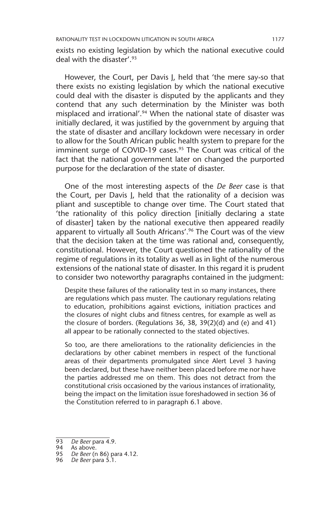exists no existing legislation by which the national executive could deal with the disaster'.93

However, the Court, per Davis J, held that 'the mere say-so that there exists no existing legislation by which the national executive could deal with the disaster is disputed by the applicants and they contend that any such determination by the Minister was both misplaced and irrational'.<sup>94</sup> When the national state of disaster was initially declared, it was justified by the government by arguing that the state of disaster and ancillary lockdown were necessary in order to allow for the South African public health system to prepare for the imminent surge of COVID-19 cases.<sup>95</sup> The Court was critical of the fact that the national government later on changed the purported purpose for the declaration of the state of disaster.

One of the most interesting aspects of the *De Beer* case is that the Court, per Davis J, held that the rationality of a decision was pliant and susceptible to change over time. The Court stated that 'the rationality of this policy direction [initially declaring a state of disaster] taken by the national executive then appeared readily apparent to virtually all South Africans'.<sup>96</sup> The Court was of the view that the decision taken at the time was rational and, consequently, constitutional. However, the Court questioned the rationality of the regime of regulations in its totality as well as in light of the numerous extensions of the national state of disaster. In this regard it is prudent to consider two noteworthy paragraphs contained in the judgment:

Despite these failures of the rationality test in so many instances, there are regulations which pass muster. The cautionary regulations relating to education, prohibitions against evictions, initiation practices and the closures of night clubs and fitness centres, for example as well as the closure of borders. (Regulations 36, 38, 39(2)(d) and (e) and 41) all appear to be rationally connected to the stated objectives.

So too, are there ameliorations to the rationality deficiencies in the declarations by other cabinet members in respect of the functional areas of their departments promulgated since Alert Level 3 having been declared, but these have neither been placed before me nor have the parties addressed me on them. This does not detract from the constitutional crisis occasioned by the various instances of irrationality, being the impact on the limitation issue foreshadowed in section 36 of the Constitution referred to in paragraph 6.1 above.

<sup>93</sup> *De Beer* para 4.9.

<sup>94</sup> As above.

<sup>95</sup> *De Beer* (n 86) para 4.12.

<sup>96</sup> *De Beer* para 5.1.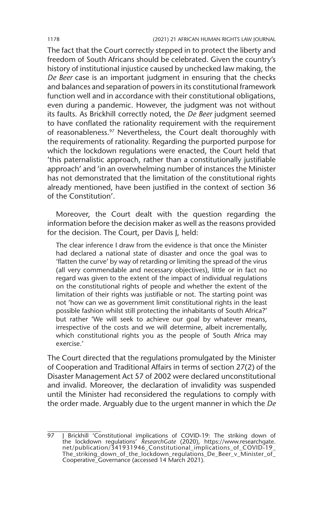The fact that the Court correctly stepped in to protect the liberty and freedom of South Africans should be celebrated. Given the country's history of institutional injustice caused by unchecked law making, the *De Beer* case is an important judgment in ensuring that the checks and balances and separation of powers in its constitutional framework function well and in accordance with their constitutional obligations, even during a pandemic. However, the judgment was not without its faults. As Brickhill correctly noted, the *De Beer* judgment seemed to have conflated the rationality requirement with the requirement of reasonableness.<sup>97</sup> Nevertheless, the Court dealt thoroughly with the requirements of rationality. Regarding the purported purpose for which the lockdown regulations were enacted, the Court held that 'this paternalistic approach, rather than a constitutionally justifiable approach' and 'in an overwhelming number of instances the Minister has not demonstrated that the limitation of the constitutional rights already mentioned, have been justified in the context of section 36 of the Constitution'.

Moreover, the Court dealt with the question regarding the information before the decision maker as well as the reasons provided for the decision. The Court, per Davis J, held:

The clear inference I draw from the evidence is that once the Minister had declared a national state of disaster and once the goal was to 'flatten the curve' by way of retarding or limiting the spread of the virus (all very commendable and necessary objectives), little or in fact no regard was given to the extent of the impact of individual regulations on the constitutional rights of people and whether the extent of the limitation of their rights was justifiable or not. The starting point was not 'how can we as government limit constitutional rights in the least possible fashion whilst still protecting the inhabitants of South Africa?' but rather 'We will seek to achieve our goal by whatever means, irrespective of the costs and we will determine, albeit incrementally, which constitutional rights you as the people of South Africa may exercise.'

The Court directed that the regulations promulgated by the Minister of Cooperation and Traditional Affairs in terms of section 27(2) of the Disaster Management Act 57 of 2002 were declared unconstitutional and invalid. Moreover, the declaration of invalidity was suspended until the Minister had reconsidered the regulations to comply with the order made. Arguably due to the urgent manner in which the *De* 

<sup>97</sup> J Brickhill 'Constitutional implications of COVID-19: The striking down of the lockdown regulations' *ResearchGate* (2020), https://www.researchgate. net/publication/341931946\_Constitutional\_implications\_of\_COVID-19\_ The\_striking\_down\_of\_the\_lockdown\_regulations\_De\_Beer\_v\_Minister\_of\_ Cooperative\_Governance (accessed 14 March 2021).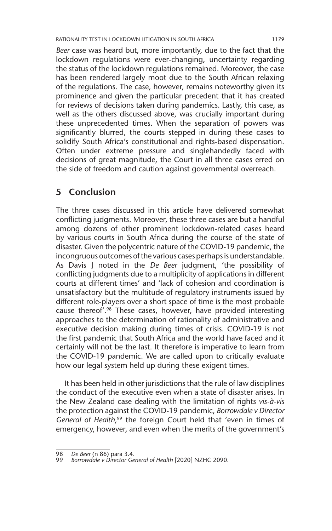*Beer* case was heard but, more importantly, due to the fact that the lockdown regulations were ever-changing, uncertainty regarding the status of the lockdown regulations remained. Moreover, the case has been rendered largely moot due to the South African relaxing of the regulations. The case, however, remains noteworthy given its prominence and given the particular precedent that it has created for reviews of decisions taken during pandemics. Lastly, this case, as well as the others discussed above, was crucially important during these unprecedented times. When the separation of powers was significantly blurred, the courts stepped in during these cases to solidify South Africa's constitutional and rights-based dispensation. Often under extreme pressure and singlehandedly faced with decisions of great magnitude, the Court in all three cases erred on the side of freedom and caution against governmental overreach.

## **5 Conclusion**

The three cases discussed in this article have delivered somewhat conflicting judgments. Moreover, these three cases are but a handful among dozens of other prominent lockdown-related cases heard by various courts in South Africa during the course of the state of disaster. Given the polycentric nature of the COVID-19 pandemic, the incongruous outcomes of the various cases perhaps is understandable. As Davis J noted in the *De Beer* judgment, 'the possibility of conflicting judgments due to a multiplicity of applications in different courts at different times' and 'lack of cohesion and coordination is unsatisfactory but the multitude of regulatory instruments issued by different role-players over a short space of time is the most probable cause thereof'.98 These cases, however, have provided interesting approaches to the determination of rationality of administrative and executive decision making during times of crisis. COVID-19 is not the first pandemic that South Africa and the world have faced and it certainly will not be the last. It therefore is imperative to learn from the COVID-19 pandemic. We are called upon to critically evaluate how our legal system held up during these exigent times.

It has been held in other jurisdictions that the rule of law disciplines the conduct of the executive even when a state of disaster arises. In the New Zealand case dealing with the limitation of rights *vis-à-vis* the protection against the COVID-19 pandemic, *Borrowdale v Director*  General of Health,<sup>99</sup> the foreign Court held that 'even in times of emergency, however, and even when the merits of the government's

<sup>98</sup> *De Beer* (n 86) para 3.4.

<sup>99</sup> *Borrowdale v Director General of Health* [2020] NZHC 2090.